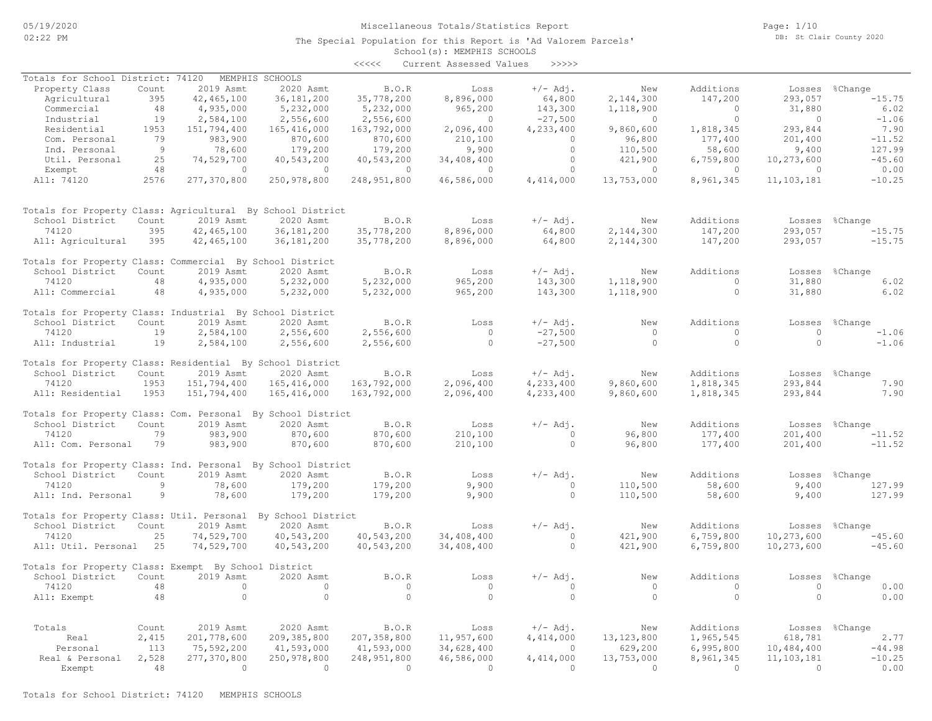#### Miscellaneous Totals/Statistics Report

The Special Population for this Report is 'Ad Valorem Parcels'

Page: 1/10 DB: St Clair County 2020

### School(s): MEMPHIS SCHOOLS <<<<< Current Assessed Values >>>>>

|                                                              |                |                |                 | ヘヘヘヘヘ          | CULLENC ASSESSEU VALUES |                |                |                |                |                |
|--------------------------------------------------------------|----------------|----------------|-----------------|----------------|-------------------------|----------------|----------------|----------------|----------------|----------------|
| Totals for School District: 74120                            |                |                | MEMPHIS SCHOOLS |                |                         |                |                |                |                |                |
| Property Class                                               | Count          | 2019 Asmt      | 2020 Asmt       | B.0. R         | Loss                    | $+/-$ Adj.     | New            | Additions      |                | Losses %Change |
| Agricultural                                                 | 395            | 42, 465, 100   | 36, 181, 200    | 35,778,200     | 8,896,000               | 64,800         | 2,144,300      | 147,200        | 293,057        | $-15.75$       |
| Commercial                                                   | 48             | 4,935,000      | 5,232,000       | 5,232,000      | 965,200                 | 143,300        | 1,118,900      | $\overline{0}$ | 31,880         | 6.02           |
| Industrial                                                   | 19             | 2,584,100      | 2,556,600       | 2,556,600      | $\sim$ 0                | $-27,500$      | $\sim$ 0       | $\bigcirc$     | $\bigcirc$     | $-1.06$        |
| Residential                                                  | 1953           | 151,794,400    | 165, 416, 000   | 163,792,000    | 2,096,400               | 4,233,400      | 9,860,600      | 1,818,345      | 293,844        | 7.90           |
| Com. Personal                                                | 79             | 983,900        | 870,600         |                |                         | $\bigcirc$     | 96,800         | 177,400        |                | $-11.52$       |
|                                                              |                |                |                 | 870,600        | 210, 100                |                |                |                | 201,400        |                |
| Ind. Personal                                                | $\overline{9}$ | 78,600         | 179,200         | 179,200        | 9,900                   | $\overline{0}$ | 110,500        | 58,600         | 9,400          | 127.99         |
| Util. Personal                                               | 25             | 74,529,700     | 40,543,200      | 40,543,200     | 34,408,400              | $\Omega$       | 421,900        | 6,759,800      | 10,273,600     | $-45.60$       |
| Exempt                                                       | 48             | $\bigcirc$     | $\bigcirc$      | $\overline{0}$ | $\bigcirc$              | $\bigcirc$     | $\Omega$       | $\bigcirc$     | $\Omega$       | 0.00           |
| All: 74120                                                   | 2576           | 277,370,800    | 250,978,800     | 248,951,800    | 46,586,000              | 4,414,000      | 13,753,000     | 8,961,345      | 11,103,181     | $-10.25$       |
| Totals for Property Class: Agricultural By School District   |                |                |                 |                |                         |                |                |                |                |                |
| School District                                              | Count          | 2019 Asmt      | 2020 Asmt       | B.O.R          | Loss                    | $+/-$ Adj.     | New            | Additions      |                | Losses %Change |
| 74120                                                        | 395            | 42, 465, 100   | 36, 181, 200    | 35,778,200     | 8,896,000               | 64,800         | 2,144,300      | 147,200        | 293,057        | $-15.75$       |
| All: Agricultural                                            | 395            | 42, 465, 100   | 36, 181, 200    | 35,778,200     | 8,896,000               | 64,800         | 2,144,300      | 147,200        | 293,057        | $-15.75$       |
|                                                              |                |                |                 |                |                         |                |                |                |                |                |
| Totals for Property Class: Commercial By School District     |                |                |                 |                |                         |                |                |                |                |                |
| School District                                              | Count          | 2019 Asmt      | 2020 Asmt       | B.O.R          | Loss                    | $+/-$ Adj.     | New            | Additions      |                | Losses %Change |
| 74120                                                        | 48             | 4,935,000      | 5,232,000       | 5,232,000      | 965,200                 | 143,300        | 1,118,900      | $\overline{0}$ | 31,880         | 6.02           |
| All: Commercial                                              | 48             | 4,935,000      | 5,232,000       | 5,232,000      | 965,200                 | 143,300        | 1,118,900      | $\Omega$       | 31,880         | 6.02           |
| Totals for Property Class: Industrial By School District     |                |                |                 |                |                         |                |                |                |                |                |
| School District                                              | Count          | 2019 Asmt      | 2020 Asmt       | B.O.R          | Loss                    | $+/-$ Adj.     | New            | Additions      |                | Losses %Change |
| 74120                                                        | 19             | 2,584,100      | 2,556,600       | 2,556,600      | $\overline{0}$          | $-27,500$      | $\bigcirc$     | $\overline{0}$ | $\bigcirc$     | $-1.06$        |
| All: Industrial                                              | 19             | 2,584,100      | 2,556,600       | 2,556,600      | $\overline{0}$          | $-27,500$      | $\bigcirc$     | $\Omega$       | $\Omega$       | $-1.06$        |
| Totals for Property Class: Residential By School District    |                |                |                 |                |                         |                |                |                |                |                |
| School District                                              | Count          | 2019 Asmt      | 2020 Asmt       | B.O.R          | Loss                    | $+/-$ Adj.     | New            | Additions      |                | Losses %Change |
|                                                              |                |                |                 |                |                         |                |                |                |                |                |
| 74120                                                        | 1953           | 151,794,400    | 165,416,000     | 163,792,000    | 2,096,400               | 4,233,400      | 9,860,600      | 1,818,345      | 293,844        | 7.90           |
| All: Residential                                             | 1953           | 151,794,400    | 165,416,000     | 163,792,000    | 2,096,400               | 4,233,400      | 9,860,600      | 1,818,345      | 293,844        | 7.90           |
| Totals for Property Class: Com. Personal By School District  |                |                |                 |                |                         |                |                |                |                |                |
| School District                                              | Count          | 2019 Asmt      | 2020 Asmt       | B.O.R          | Loss                    | $+/-$ Adj.     | New            | Additions      | Losses         | %Change        |
| 74120                                                        | 79             | 983,900        | 870,600         | 870,600        | 210,100                 | $\Omega$       | 96,800         | 177,400        | 201,400        | $-11.52$       |
| All: Com. Personal                                           | 79             | 983,900        | 870,600         | 870,600        | 210,100                 | $\circ$        | 96,800         | 177,400        | 201,400        | $-11.52$       |
| Totals for Property Class: Ind. Personal By School District  |                |                |                 |                |                         |                |                |                |                |                |
| School District                                              | Count          | 2019 Asmt      | 2020 Asmt       | B.O.R          | Loss                    | $+/-$ Adj.     | New            | Additions      |                | Losses %Change |
|                                                              |                |                |                 |                |                         |                |                |                |                |                |
| 74120                                                        | 9              | 78,600         | 179,200         | 179,200        | 9,900                   | $\Omega$       | 110,500        | 58,600         | 9,400          | 127.99         |
| All: Ind. Personal                                           | 9              | 78,600         | 179,200         | 179,200        | 9,900                   | $\Omega$       | 110,500        | 58,600         | 9,400          | 127.99         |
| Totals for Property Class: Util. Personal By School District |                |                |                 |                |                         |                |                |                |                |                |
| School District                                              | Count          | 2019 Asmt      | 2020 Asmt       | B.O.R          | Loss                    | $+/-$ Adj.     | New            | Additions      |                | Losses %Change |
| 74120                                                        | 25             | 74,529,700     | 40,543,200      | 40,543,200     | 34,408,400              | $\circ$        | 421,900        | 6,759,800      | 10,273,600     | $-45.60$       |
| All: Util. Personal 25                                       |                | 74,529,700     | 40,543,200      | 40,543,200     | 34,408,400              | $\circ$        | 421,900        | 6,759,800      | 10,273,600     | $-45.60$       |
| Totals for Property Class: Exempt By School District         |                |                |                 |                |                         |                |                |                |                |                |
| School District Count                                        |                | 2019 Asmt      | 2020 Asmt       | B.O.R          | Loss                    | $+/-$ Adj.     | New            | Additions      |                | Losses %Change |
| 74120                                                        | 48             | $\overline{0}$ | $\circ$         | $\overline{0}$ | $\overline{0}$          | $\overline{0}$ | $\overline{0}$ | $\overline{0}$ | $\overline{0}$ |                |
|                                                              |                |                |                 |                |                         |                |                |                |                | 0.00           |
| All: Exempt                                                  | 48             | $\circ$        | $\circ$         | $\Omega$       | $\bigcirc$              | $\circ$        | $\bigcirc$     | $\circ$        | $\Omega$       | 0.00           |
|                                                              |                |                |                 |                |                         |                |                |                |                |                |
| Totals                                                       | Count          | 2019 Asmt      | 2020 Asmt       | B.O.R          | Loss                    | $+/-$ Adj.     | New            | Additions      |                | Losses %Change |
| Real                                                         | 2,415          | 201,778,600    | 209, 385, 800   | 207, 358, 800  | 11,957,600              | 4,414,000      | 13, 123, 800   | 1,965,545      | 618,781        | 2.77           |
| Personal                                                     | 113            | 75,592,200     | 41,593,000      | 41,593,000     | 34,628,400              | $\overline{0}$ | 629,200        | 6,995,800      | 10,484,400     | $-44.98$       |
| Real & Personal                                              | 2,528          | 277,370,800    | 250,978,800     | 248,951,800    | 46,586,000              | 4,414,000      | 13,753,000     | 8,961,345      | 11, 103, 181   | $-10.25$       |
| Exempt                                                       | 48             | $\sim$ 0       | $\overline{0}$  | $\overline{0}$ | $\overline{0}$          | $\sim$ 0       | $\Omega$       | $\sim$ 0       | $\bigcirc$     | 0.00           |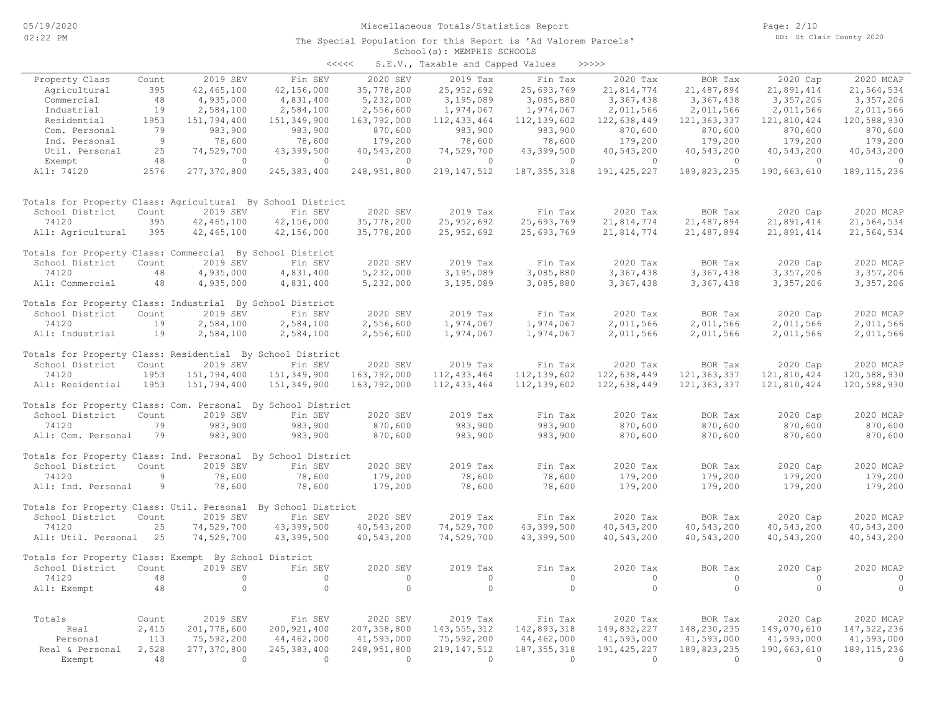| くくくくく | S.E.V., Taxable and Capped Values |  |  |  | >>>>> |
|-------|-----------------------------------|--|--|--|-------|
|-------|-----------------------------------|--|--|--|-------|

|                                                              |       |              |                |                | $5.2.1$ , $1, 7$ $1, 1, 1$ |                        |               |               |                |               |
|--------------------------------------------------------------|-------|--------------|----------------|----------------|----------------------------|------------------------|---------------|---------------|----------------|---------------|
| Property Class                                               | Count | 2019 SEV     | Fin SEV        | 2020 SEV       | 2019 Tax                   | Fin Tax                | 2020 Tax      | BOR Tax       | 2020 Cap       | 2020 MCAP     |
| Agricultural                                                 | 395   | 42, 465, 100 | 42,156,000     | 35,778,200     | 25,952,692                 | 25,693,769             | 21,814,774    | 21, 487, 894  | 21,891,414     | 21,564,534    |
| Commercial                                                   | 48    | 4,935,000    | 4,831,400      | 5,232,000      | 3,195,089                  | 3,085,880              | 3,367,438     | 3,367,438     | 3,357,206      | 3,357,206     |
| Industrial                                                   | 19    | 2,584,100    | 2,584,100      | 2,556,600      | 1,974,067                  | 1,974,067              | 2,011,566     | 2,011,566     | 2,011,566      | 2,011,566     |
| Residential                                                  | 1953  | 151,794,400  | 151,349,900    | 163,792,000    | 112, 433, 464              | 112, 139, 602          | 122,638,449   | 121, 363, 337 | 121,810,424    | 120,588,930   |
| Com. Personal                                                | 79    | 983,900      | 983,900        | 870,600        | 983,900                    | 983,900                | 870,600       | 870,600       | 870,600        | 870,600       |
| Ind. Personal                                                | 9     | 78,600       | 78,600         | 179,200        | 78,600                     | 78,600                 | 179,200       | 179,200       | 179,200        | 179,200       |
| Util. Personal                                               | 25    | 74,529,700   | 43,399,500     | 40,543,200     | 74,529,700                 | 43,399,500             | 40,543,200    | 40,543,200    | 40,543,200     | 40,543,200    |
| Exempt                                                       | 48    | $\circ$      | $\overline{0}$ | $\overline{0}$ | $\circ$                    | $\circ$                | $\circ$       | $\circ$       | $\overline{0}$ | $\circ$       |
| All: 74120                                                   | 2576  | 277,370,800  | 245, 383, 400  | 248,951,800    | 219, 147, 512              | 187, 355, 318          | 191, 425, 227 | 189,823,235   | 190,663,610    | 189, 115, 236 |
| Totals for Property Class: Agricultural By School District   |       |              |                |                |                            |                        |               |               |                |               |
| School District                                              | Count | 2019 SEV     | Fin SEV        | 2020 SEV       | 2019 Tax                   | Fin Tax                | 2020 Tax      | BOR Tax       | 2020 Cap       | 2020 MCAP     |
| 74120                                                        | 395   | 42, 465, 100 | 42,156,000     | 35,778,200     | 25,952,692                 | 25,693,769             | 21,814,774    | 21, 487, 894  | 21,891,414     | 21,564,534    |
| All: Agricultural                                            | 395   | 42, 465, 100 | 42,156,000     | 35,778,200     | 25,952,692                 | 25,693,769             | 21,814,774    | 21,487,894    | 21,891,414     | 21,564,534    |
| Totals for Property Class: Commercial By School District     |       |              |                |                |                            |                        |               |               |                |               |
| School District                                              | Count | 2019 SEV     | Fin SEV        | 2020 SEV       | 2019 Tax                   | Fin Tax                | 2020 Tax      | BOR Tax       | 2020 Cap       | 2020 MCAP     |
| 74120                                                        | 48    | 4,935,000    | 4,831,400      | 5,232,000      | 3,195,089                  | 3,085,880              | 3,367,438     | 3,367,438     | 3,357,206      | 3,357,206     |
| All: Commercial                                              | 48    | 4,935,000    | 4,831,400      | 5,232,000      | 3,195,089                  | 3,085,880              | 3,367,438     | 3,367,438     | 3,357,206      | 3,357,206     |
| Totals for Property Class: Industrial By School District     |       |              |                |                |                            |                        |               |               |                |               |
| School District                                              | Count | 2019 SEV     | Fin SEV        | 2020 SEV       | 2019 Tax                   | Fin Tax                | 2020 Tax      | BOR Tax       | 2020 Cap       | 2020 MCAP     |
| 74120                                                        | 19    | 2,584,100    | 2,584,100      | 2,556,600      | 1,974,067                  | 1,974,067              | 2,011,566     | 2,011,566     | 2,011,566      | 2,011,566     |
| All: Industrial                                              | 19    | 2,584,100    | 2,584,100      | 2,556,600      | 1,974,067                  | 1,974,067              | 2,011,566     | 2,011,566     | 2,011,566      | 2,011,566     |
| Totals for Property Class: Residential By School District    |       |              |                |                |                            |                        |               |               |                |               |
| School District                                              | Count | 2019 SEV     | Fin SEV        | 2020 SEV       | 2019 Tax                   | Fin Tax                | 2020 Tax      | BOR Tax       | 2020 Cap       | 2020 MCAP     |
| 74120                                                        | 1953  | 151,794,400  | 151,349,900    | 163,792,000    | 112, 433, 464              | 112, 139, 602          | 122,638,449   | 121, 363, 337 | 121,810,424    | 120,588,930   |
| All: Residential                                             | 1953  | 151,794,400  | 151,349,900    | 163,792,000    | 112, 433, 464              | 112, 139, 602          | 122,638,449   | 121, 363, 337 | 121,810,424    | 120,588,930   |
| Totals for Property Class: Com. Personal By School District  |       |              |                |                |                            |                        |               |               |                |               |
| School District                                              | Count | 2019 SEV     | Fin SEV        | 2020 SEV       | 2019 Tax                   | Fin Tax                | 2020 Tax      | BOR Tax       | 2020 Cap       | 2020 MCAP     |
| 74120                                                        | 79    | 983,900      | 983,900        | 870,600        | 983,900                    | 983,900                | 870,600       | 870,600       | 870,600        | 870,600       |
| All: Com. Personal                                           | 79    | 983,900      | 983,900        | 870,600        | 983,900                    | 983,900                | 870,600       | 870,600       | 870,600        | 870,600       |
| Totals for Property Class: Ind. Personal By School District  |       |              |                |                |                            |                        |               |               |                |               |
| School District                                              | Count | 2019 SEV     | Fin SEV        | 2020 SEV       | 2019 Tax                   | Fin Tax                | 2020 Tax      | BOR Tax       | 2020 Cap       | 2020 MCAP     |
| 74120                                                        | 9     | 78,600       | 78,600         | 179,200        | 78,600                     | 78,600                 | 179,200       | 179,200       | 179,200        | 179,200       |
| All: Ind. Personal                                           | 9     | 78,600       | 78,600         | 179,200        | 78,600                     | 78,600                 | 179,200       | 179,200       | 179,200        | 179,200       |
| Totals for Property Class: Util. Personal By School District |       |              |                |                |                            |                        |               |               |                |               |
| School District                                              | Count | 2019 SEV     | Fin SEV        | 2020 SEV       | 2019 Tax                   | Fin Tax                | 2020 Tax      | BOR Tax       | 2020 Cap       | 2020 MCAP     |
| 74120                                                        | 25    | 74,529,700   | 43,399,500     | 40,543,200     | 74,529,700                 | 43,399,500             | 40,543,200    | 40,543,200    | 40,543,200     | 40,543,200    |
| All: Util. Personal                                          | 25    | 74,529,700   | 43,399,500     | 40,543,200     | 74,529,700                 | 43,399,500             | 40,543,200    | 40,543,200    | 40,543,200     | 40,543,200    |
| Totals for Property Class: Exempt By School District         |       |              |                |                |                            |                        |               |               |                |               |
| School District                                              | Count | 2019 SEV     | Fin SEV        | 2020 SEV       | 2019 Tax                   | Fin Tax                | 2020 Tax      | BOR Tax       | 2020 Cap       | 2020 MCAP     |
| 74120                                                        | 48    | $\circ$      | $\circ$        | $\circ$        | $\circ$                    | $\circ$                | $\circ$       | $\circ$       | $\circ$        | $\circ$       |
| All: Exempt                                                  | 48    | $\circ$      | $\Omega$       | $\circ$        | $\circ$                    | $\circ$                | $\Omega$      | $\circ$       | $\circ$        | $\circ$       |
| Totals                                                       | Count | 2019 SEV     | Fin SEV        | 2020 SEV       | 2019 Tax                   |                        | 2020 Tax      | BOR Tax       | 2020 Cap       | 2020 MCAP     |
| Real                                                         | 2,415 | 201,778,600  | 200, 921, 400  | 207,358,800    | 143, 555, 312              | Fin Tax<br>142,893,318 | 149,832,227   | 148,230,235   | 149,070,610    | 147, 522, 236 |
| Personal                                                     | 113   | 75,592,200   | 44,462,000     | 41,593,000     | 75,592,200                 | 44,462,000             | 41,593,000    | 41,593,000    | 41,593,000     | 41,593,000    |
| Real & Personal                                              | 2,528 | 277,370,800  | 245, 383, 400  | 248,951,800    | 219, 147, 512              | 187, 355, 318          | 191, 425, 227 | 189,823,235   | 190,663,610    | 189, 115, 236 |
| Exempt                                                       | 48    | $\bigcirc$   | $\bigcirc$     | $\bigcirc$     | $\Omega$                   | $\Omega$               | $\Omega$      | $\bigcirc$    | $\Omega$       | $\circ$       |
|                                                              |       |              |                |                |                            |                        |               |               |                |               |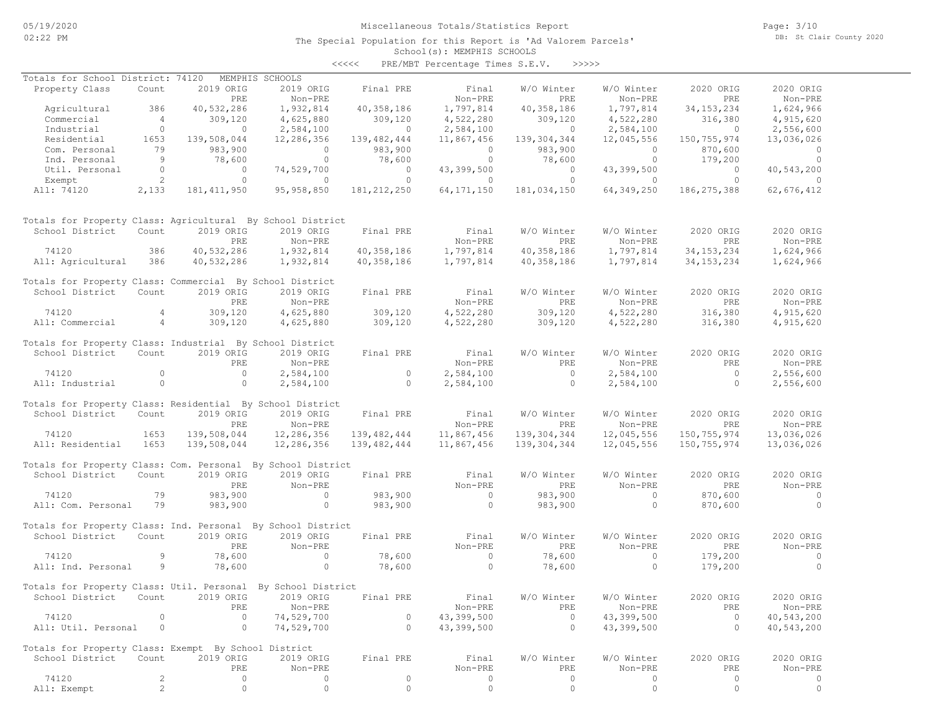# Miscellaneous Totals/Statistics Report

The Special Population for this Report is 'Ad Valorem Parcels'

Page: 3/10 DB: St Clair County 2020

#### School(s): MEMPHIS SCHOOLS <<<<< PRE/MBT Percentage Times S.E.V. >>>>>

| Totals for School District: 74120                            |                |                | MEMPHIS SCHOOLS |                |                |                  |                |                |                |
|--------------------------------------------------------------|----------------|----------------|-----------------|----------------|----------------|------------------|----------------|----------------|----------------|
| Property Class                                               | Count          | 2019 ORIG      | 2019 ORIG       | Final PRE      | Final          | W/O Winter       | W/O Winter     | 2020 ORIG      | 2020 ORIG      |
|                                                              |                | PRE            | Non-PRE         |                | Non-PRE        | PRE              | Non-PRE        | PRE            | Non-PRE        |
| Agricultural                                                 | 386            | 40,532,286     | 1,932,814       | 40,358,186     | 1,797,814      | 40, 358, 186     | 1,797,814      | 34, 153, 234   | 1,624,966      |
| Commercial                                                   | $\sim$ 4       | 309,120        | 4,625,880       | 309,120        | 4,522,280      | 309,120          | 4,522,280      | 316,380        | 4,915,620      |
| Industrial                                                   | $\circ$        | $\overline{0}$ | 2,584,100       | $\overline{0}$ | 2,584,100      | $\overline{0}$   | 2,584,100      | $\overline{0}$ | 2,556,600      |
| Residential                                                  | 1653           | 139,508,044    | 12,286,356      | 139, 482, 444  | 11,867,456     | 139, 304, 344    | 12,045,556     | 150,755,974    | 13,036,026     |
| Com. Personal                                                | 79             | 983,900        | $\overline{0}$  | 983,900        | $\overline{0}$ | 983,900          | $\overline{0}$ | 870,600        | $\circ$        |
| Ind. Personal                                                | 9              | 78,600         | $\circ$         | 78,600         | $\overline{0}$ | 78,600           | $\overline{0}$ | 179,200        | $\Omega$       |
| Util. Personal                                               | $\circ$        | $\overline{0}$ | 74,529,700      | $\circ$        | 43,399,500     | $\circ$          | 43,399,500     | $\circ$        | 40,543,200     |
| Exempt                                                       | 2              | $\circ$        | $\circ$         | $\circ$        | $\circ$        | $\circ$          | $\circ$        | $\circ$        | $\circ$        |
| All: 74120                                                   | 2,133          | 181, 411, 950  | 95, 958, 850    | 181, 212, 250  | 64, 171, 150   | 181,034,150      | 64,349,250     | 186, 275, 388  | 62, 676, 412   |
| Totals for Property Class: Agricultural By School District   |                |                |                 |                |                |                  |                |                |                |
| School District                                              | Count          | 2019 ORIG      | 2019 ORIG       | Final PRE      | Final          | W/O Winter       | W/O Winter     | 2020 ORIG      | 2020 ORIG      |
|                                                              |                | PRE            | Non-PRE         |                | Non-PRE        | PRE              | Non-PRE        | PRE            | Non-PRE        |
| 74120                                                        | 386            | 40,532,286     | 1,932,814       | 40,358,186     | 1,797,814      | 40,358,186       | 1,797,814      | 34, 153, 234   | 1,624,966      |
| All: Agricultural                                            | 386            | 40,532,286     | 1,932,814       | 40,358,186     | 1,797,814      | 40,358,186       | 1,797,814      | 34, 153, 234   | 1,624,966      |
|                                                              |                |                |                 |                |                |                  |                |                |                |
| Totals for Property Class: Commercial By School District     |                |                |                 |                |                |                  |                |                |                |
| School District                                              | Count          | 2019 ORIG      | 2019 ORIG       | Final PRE      | Final          | W/O Winter       | W/O Winter     | 2020 ORIG      | 2020 ORIG      |
|                                                              |                | PRE            | Non-PRE         |                | Non-PRE        | PRE              | Non-PRE        | PRE            | Non-PRE        |
| 74120                                                        | $\overline{4}$ | 309,120        | 4,625,880       | 309,120        | 4,522,280      | 309,120          | 4,522,280      | 316,380        | 4,915,620      |
| All: Commercial                                              | $\overline{4}$ | 309,120        | 4,625,880       | 309,120        | 4,522,280      | 309,120          | 4,522,280      | 316,380        | 4,915,620      |
|                                                              |                |                |                 |                |                |                  |                |                |                |
| Totals for Property Class: Industrial By School District     |                |                |                 |                |                |                  |                |                |                |
| School District                                              | Count          | 2019 ORIG      | 2019 ORIG       | Final PRE      | Final          | W/O Winter       | W/O Winter     | 2020 ORIG      | 2020 ORIG      |
|                                                              |                | PRE            | Non-PRE         |                | Non-PRE        | PRE              | Non-PRE        | PRE            | Non-PRE        |
| 74120                                                        | $\mathbf{0}$   | $\circ$        | 2,584,100       | $\circ$        | 2,584,100      | $\circ$          | 2,584,100      | $\overline{0}$ | 2,556,600      |
| All: Industrial                                              | $\circ$        | $\circ$        | 2,584,100       | $\circ$        | 2,584,100      | $\circ$          | 2,584,100      | $\Omega$       | 2,556,600      |
|                                                              |                |                |                 |                |                |                  |                |                |                |
| Totals for Property Class: Residential By School District    |                |                |                 |                |                |                  |                |                |                |
| School District                                              | Count          | 2019 ORIG      | 2019 ORIG       | Final PRE      | Final          | W/O Winter       | W/O Winter     | 2020 ORIG      | 2020 ORIG      |
|                                                              |                | PRE            | Non-PRE         |                | Non-PRE        | PRE              | Non-PRE        | PRE            | Non-PRE        |
| 74120                                                        | 1653           | 139,508,044    | 12,286,356      | 139,482,444    | 11,867,456     | 139,304,344      | 12,045,556     | 150,755,974    | 13,036,026     |
|                                                              | 1653           |                |                 |                |                |                  |                |                |                |
| All: Residential                                             |                | 139,508,044    | 12,286,356      | 139,482,444    | 11,867,456     | 139,304,344      | 12,045,556     | 150,755,974    | 13,036,026     |
| Totals for Property Class: Com. Personal By School District  |                |                |                 |                |                |                  |                |                |                |
| School District                                              | Count          | 2019 ORIG      | 2019 ORIG       | Final PRE      | Final          | W/O Winter       | W/O Winter     | 2020 ORIG      | 2020 ORIG      |
|                                                              |                | PRE            | Non-PRE         |                | Non-PRE        | PRE              | Non-PRE        | PRE            | Non-PRE        |
|                                                              |                |                | $\circ$         |                | $\Omega$       |                  |                |                | $\circ$        |
| 74120                                                        | 79             | 983,900        |                 | 983,900        |                | 983,900          | $\circ$        | 870,600        | $\Omega$       |
| All: Com. Personal                                           | 79             | 983,900        | $\circ$         | 983,900        | $\circ$        | 983,900          | $\circ$        | 870,600        |                |
| Totals for Property Class: Ind. Personal By School District  |                |                |                 |                |                |                  |                |                |                |
| School District                                              | Count          | 2019 ORIG      | 2019 ORIG       | Final PRE      |                |                  | W/O Winter     | 2020 ORIG      | 2020 ORIG      |
|                                                              |                |                |                 |                | Final          | W/O Winter       |                |                |                |
|                                                              |                | PRE            | Non-PRE         |                | Non-PRE        | PRE              | Non-PRE        | PRE            | Non-PRE        |
| 74120                                                        | 9              | 78,600         | $\circ$         | 78,600         | $\overline{0}$ | 78,600           | $\mathbf{0}$   | 179,200        | $\overline{0}$ |
| All: Ind. Personal                                           | 9              | 78,600         | $\circ$         | 78,600         | $\circ$        | 78,600           | $\circ$        | 179,200        | $\Omega$       |
|                                                              |                |                |                 |                |                |                  |                |                |                |
| Totals for Property Class: Util. Personal By School District |                |                |                 |                |                |                  |                |                |                |
| School District Count 2019 ORIG 2019 ORIG Final PRE          |                |                |                 |                |                | Final W/O Winter | W/O Winter     | 2020 ORIG      | 2020 ORIG      |
|                                                              |                | PRE            | Non-PRE         |                | Non-PRE        | PRE              | Non-PRE        | PRE            | Non-PRE        |
| 74120                                                        | 0              | $\circ$        | 74,529,700      | $\circ$        | 43,399,500     | $\circ$          | 43,399,500     | $\circ$        | 40,543,200     |
| All: Util. Personal                                          | 0              | $\circ$        | 74,529,700      | $\mathbf{0}$   | 43,399,500     | $\circ$          | 43,399,500     | $\mathbf{0}$   | 40,543,200     |
|                                                              |                |                |                 |                |                |                  |                |                |                |
| Totals for Property Class: Exempt By School District         |                |                |                 |                |                |                  |                |                |                |
| School District                                              | Count          | 2019 ORIG      | 2019 ORIG       | Final PRE      | Final          | W/O Winter       | W/O Winter     | 2020 ORIG      | 2020 ORIG      |
|                                                              |                | PRE            | Non-PRE         |                | Non-PRE        | PRE              | Non-PRE        | PRE            | Non-PRE        |
| 74120                                                        | 2              | 0              | 0               | 0              | 0              | 0                | 0              | 0              | 0              |
| All: Exempt                                                  | $\mathbf{2}$   | $\circ$        | $\circ$         | $\circ$        | $\circ$        | $\circ$          | $\circ$        | $\circ$        | $\circ$        |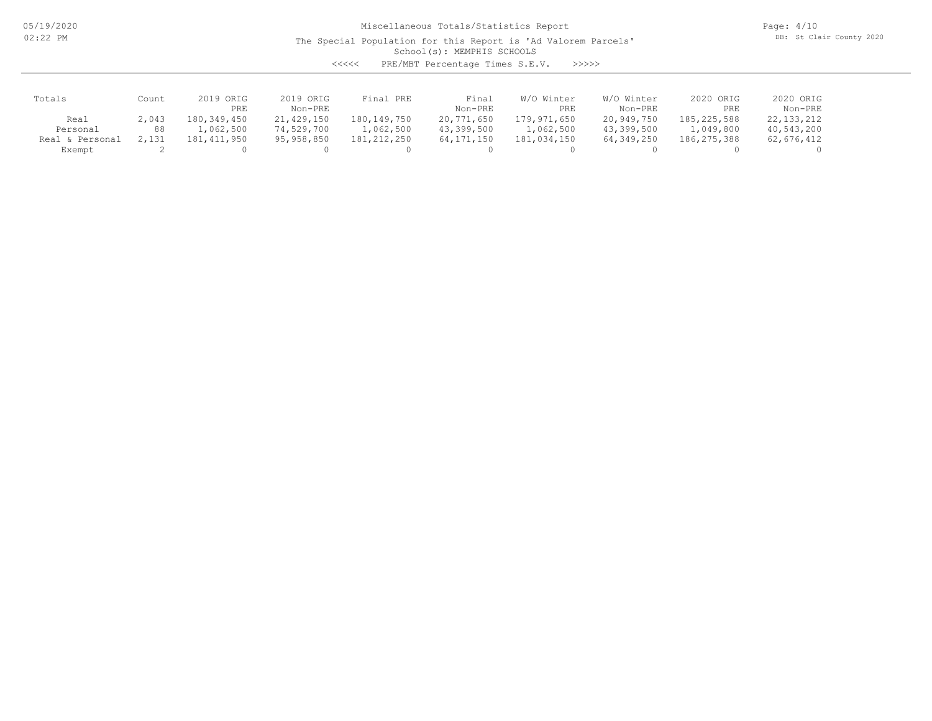05/19/2020 02:22 PM

# Miscellaneous Totals/Statistics Report

The Special Population for this Report is 'Ad Valorem Parcels'

Page: 4/10 DB: St Clair County 2020

School(s): MEMPHIS SCHOOLS

<<<<< PRE/MBT Percentage Times S.E.V. >>>>>

| Totals             | Count | 2019 ORIG   | 2019 ORIG    | Final PRE   | Final        | W/O Winter  | W/O Winter | 2020 ORIG   | 2020 ORIG    |
|--------------------|-------|-------------|--------------|-------------|--------------|-------------|------------|-------------|--------------|
|                    |       | <b>PRE</b>  | Non-PRE      |             | Non-PRE      | PRE         | Non-PRE    | PRE         | Non-PRE      |
| Real               | 2,043 | 180,349,450 | 21,429,150   | 180,149,750 | 20,771,650   | 179,971,650 | 20,949,750 | 185,225,588 | 22, 133, 212 |
| Personal           | 88    | .,062,500   | 74,529,700   | 1,062,500   | 43,399,500   | 1,062,500   | 43,399,500 | 1,049,800   | 40,543,200   |
| Personal<br>Real & | 2,131 | 181,411,950 | 95, 958, 850 | 181,212,250 | 64, 171, 150 | 181,034,150 | 64,349,250 | 186,275,388 | 62,676,412   |
| Exempt             |       |             |              |             |              |             |            |             |              |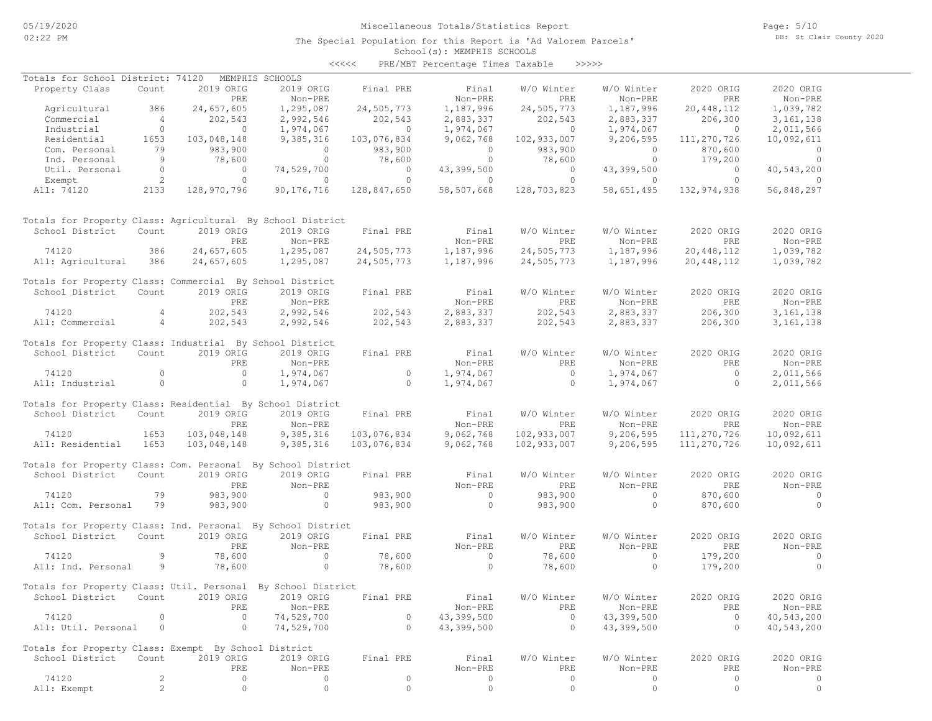# Miscellaneous Totals/Statistics Report

The Special Population for this Report is 'Ad Valorem Parcels'

Page: 5/10 DB: St Clair County 2020

School(s): MEMPHIS SCHOOLS <<<<< PRE/MBT Percentage Times Taxable >>>>>

| Totals for School District: 74120                            |                |             | MEMPHIS SCHOOLS |             |                |             |                |             |                |
|--------------------------------------------------------------|----------------|-------------|-----------------|-------------|----------------|-------------|----------------|-------------|----------------|
| Property Class                                               | Count          | 2019 ORIG   | 2019 ORIG       | Final PRE   | Final          | W/O Winter  | W/O Winter     | 2020 ORIG   | 2020 ORIG      |
|                                                              |                | PRE         | Non-PRE         |             | Non-PRE        | PRE         | Non-PRE        | PRE         | Non-PRE        |
| Agricultural                                                 | 386            | 24,657,605  | 1,295,087       | 24,505,773  | 1,187,996      | 24,505,773  | 1,187,996      | 20,448,112  | 1,039,782      |
| Commercial                                                   | $\overline{4}$ | 202,543     | 2,992,546       | 202,543     | 2,883,337      | 202,543     | 2,883,337      | 206,300     | 3, 161, 138    |
| Industrial                                                   | $\circ$        | $\circ$     | 1,974,067       | $\circ$     | 1,974,067      | $\circ$     | 1,974,067      | $\circ$     | 2,011,566      |
| Residential                                                  | 1653           | 103,048,148 | 9,385,316       | 103,076,834 | 9,062,768      | 102,933,007 | 9,206,595      | 111,270,726 | 10,092,611     |
| Com. Personal                                                | 79             | 983,900     | $\overline{0}$  | 983,900     | $\overline{0}$ | 983,900     | $\overline{0}$ | 870,600     | $\overline{0}$ |
| Ind. Personal                                                | 9              | 78,600      | $\overline{0}$  | 78,600      | $\overline{0}$ | 78,600      | $\overline{0}$ | 179,200     | $\overline{0}$ |
| Util. Personal                                               | $\overline{0}$ | $\circ$     | 74,529,700      | $\circ$     | 43,399,500     | $\circ$     | 43,399,500     | $\circ$     | 40,543,200     |
| Exempt                                                       | $\overline{2}$ | $\circ$     | $\circ$         | $\circ$     | $\circ$        | $\circ$     | $\circ$        | $\circ$     | $\circ$        |
| All: 74120                                                   | 2133           | 128,970,796 | 90,176,716      | 128,847,650 | 58,507,668     | 128,703,823 | 58,651,495     | 132,974,938 | 56,848,297     |
| Totals for Property Class: Agricultural By School District   |                |             |                 |             |                |             |                |             |                |
| School District                                              | Count          | 2019 ORIG   | 2019 ORIG       | Final PRE   | Final          | W/O Winter  | W/O Winter     | 2020 ORIG   | 2020 ORIG      |
|                                                              |                | PRE         | Non-PRE         |             | Non-PRE        | PRE         | Non-PRE        | PRE         | Non-PRE        |
| 74120                                                        | 386            | 24,657,605  | 1,295,087       | 24,505,773  | 1,187,996      | 24,505,773  | 1,187,996      | 20,448,112  | 1,039,782      |
| All: Agricultural                                            | 386            | 24,657,605  | 1,295,087       | 24,505,773  | 1,187,996      | 24,505,773  | 1,187,996      | 20,448,112  | 1,039,782      |
|                                                              |                |             |                 |             |                |             |                |             |                |
| Totals for Property Class: Commercial By School District     |                |             |                 |             |                |             |                |             |                |
| School District                                              | Count          | 2019 ORIG   | 2019 ORIG       | Final PRE   | Final          | W/O Winter  | W/O Winter     | 2020 ORIG   | 2020 ORIG      |
|                                                              |                | PRE         | Non-PRE         |             | Non-PRE        | PRE         | Non-PRE        | PRE         | Non-PRE        |
| 74120                                                        | $\overline{4}$ | 202,543     | 2,992,546       | 202,543     | 2,883,337      | 202,543     | 2,883,337      | 206,300     | 3, 161, 138    |
| All: Commercial                                              | 4              | 202,543     | 2,992,546       | 202,543     | 2,883,337      | 202,543     | 2,883,337      | 206,300     | 3, 161, 138    |
|                                                              |                |             |                 |             |                |             |                |             |                |
| Totals for Property Class: Industrial By School District     |                |             |                 |             |                |             |                |             |                |
| School District                                              | Count          | 2019 ORIG   | 2019 ORIG       | Final PRE   | Final          | W/O Winter  | W/O Winter     | 2020 ORIG   | 2020 ORIG      |
|                                                              |                | PRE         | Non-PRE         |             | Non-PRE        | PRE         | Non-PRE        | PRE         | Non-PRE        |
| 74120                                                        | $\circ$        | $\circ$     | 1,974,067       | $\circ$     | 1,974,067      | $\circ$     | 1,974,067      | $\circ$     | 2,011,566      |
| All: Industrial                                              | $\circ$        | $\circ$     | 1,974,067       | $\circ$     | 1,974,067      | $\circ$     | 1,974,067      | $\circ$     | 2,011,566      |
|                                                              |                |             |                 |             |                |             |                |             |                |
| Totals for Property Class: Residential By School District    |                |             |                 |             |                |             |                |             |                |
| School District                                              | Count          | 2019 ORIG   | 2019 ORIG       | Final PRE   | Final          | W/O Winter  | W/O Winter     | 2020 ORIG   | 2020 ORIG      |
|                                                              |                | PRE         | Non-PRE         |             | Non-PRE        | PRE         | Non-PRE        | PRE         | Non-PRE        |
| 74120                                                        | 1653           | 103,048,148 | 9,385,316       | 103,076,834 | 9,062,768      | 102,933,007 | 9,206,595      | 111,270,726 | 10,092,611     |
| All: Residential                                             | 1653           | 103,048,148 | 9,385,316       | 103,076,834 | 9,062,768      | 102,933,007 | 9,206,595      | 111,270,726 | 10,092,611     |
|                                                              |                |             |                 |             |                |             |                |             |                |
| Totals for Property Class: Com. Personal By School District  |                |             |                 |             |                |             |                |             |                |
| School District                                              | Count          | 2019 ORIG   | 2019 ORIG       | Final PRE   | Final          | W/O Winter  | W/O Winter     | 2020 ORIG   | 2020 ORIG      |
|                                                              |                | PRE         | Non-PRE         |             | Non-PRE        | PRE         | Non-PRE        | PRE         | Non-PRE        |
| 74120                                                        | 79             | 983,900     | $\circ$         | 983,900     | $\circ$        | 983,900     | $\circ$        | 870,600     | $\circ$        |
| All: Com. Personal                                           | 79             | 983,900     | $\circ$         | 983,900     | $\circ$        | 983,900     | $\circ$        | 870,600     | $\circ$        |
|                                                              |                |             |                 |             |                |             |                |             |                |
| Totals for Property Class: Ind. Personal By School District  |                |             |                 |             |                |             |                |             |                |
| School District                                              | Count          | 2019 ORIG   | 2019 ORIG       | Final PRE   | Final          | W/O Winter  | W/O Winter     | 2020 ORIG   | 2020 ORIG      |
|                                                              |                | PRE         | Non-PRE         |             | Non-PRE        | PRE         | Non-PRE        | PRE         | Non-PRE        |
| 74120                                                        | 9              | 78,600      | $\circ$         | 78,600      | $\overline{0}$ | 78,600      | $\circ$        | 179,200     | $\circ$        |
| All: Ind. Personal                                           | 9              | 78,600      | $\circ$         | 78,600      | $\overline{0}$ | 78,600      | $\circ$        | 179,200     | $\circ$        |
|                                                              |                |             |                 |             |                |             |                |             |                |
| Totals for Property Class: Util. Personal By School District |                |             |                 |             |                |             |                |             |                |
| School District                                              | Count          | 2019 ORIG   | 2019 ORIG       | Final PRE   | Final          | W/O Winter  | W/O Winter     | 2020 ORIG   | 2020 ORIG      |
|                                                              |                | PRE         | Non-PRE         |             | Non-PRE        | PRE         | Non-PRE        | PRE         | Non-PRE        |
| 74120                                                        | $\circ$        | $\circ$     | 74,529,700      | $\circ$     | 43,399,500     | $\circ$     | 43,399,500     | $\circ$     | 40,543,200     |
| All: Util. Personal                                          | $\circ$        | $\circ$     | 74,529,700      | $\circ$     | 43,399,500     | $\circ$     | 43,399,500     | $\circ$     | 40,543,200     |
|                                                              |                |             |                 |             |                |             |                |             |                |
| Totals for Property Class: Exempt By School District         |                |             |                 |             |                |             |                |             |                |
| School District                                              | Count          | 2019 ORIG   | 2019 ORIG       | Final PRE   | Final          | W/O Winter  | W/O Winter     | 2020 ORIG   | 2020 ORIG      |
|                                                              |                | PRE         | Non-PRE         |             | Non-PRE        | PRE         | Non-PRE        | PRE         | Non-PRE        |
| 74120                                                        | 2              | $\circ$     | 0               | 0           | 0              | 0           | 0              | $\circ$     | 0              |
| All: Exempt                                                  | $\overline{c}$ | $\circ$     | 0               | $\circ$     | $\circ$        | $\circ$     | $\circ$        | 0           | $\circ$        |
|                                                              |                |             |                 |             |                |             |                |             |                |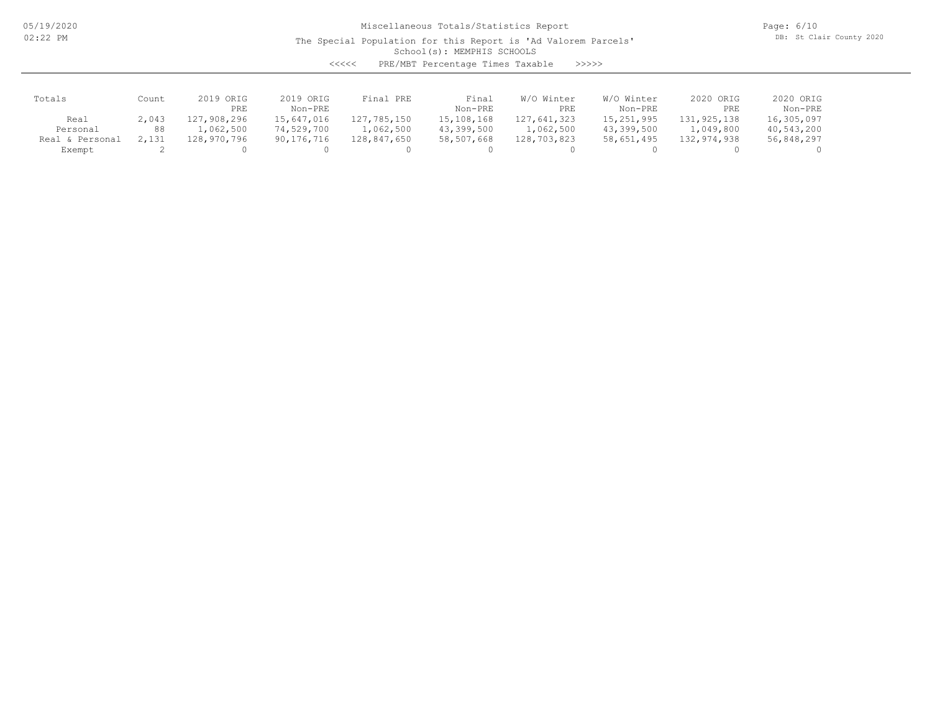05/19/2020 02:22 PM

# Miscellaneous Totals/Statistics Report

The Special Population for this Report is 'Ad Valorem Parcels'

Page: 6/10 DB: St Clair County 2020

School(s): MEMPHIS SCHOOLS

| くくくくく | PRE/MBT Percentage Times Taxable |  |  | >>>>> |
|-------|----------------------------------|--|--|-------|
|-------|----------------------------------|--|--|-------|

| Totals             | Count | 2019 ORIG   | 2019 ORIG    | Final PRE   | Final      | W/O Winter  | W/O Winter   | 2020 ORIG   | 2020 ORIG  |
|--------------------|-------|-------------|--------------|-------------|------------|-------------|--------------|-------------|------------|
|                    |       | PRE         | Non-PRE      |             | Non-PRE    | PRE         | Non-PRE      | PRE         | Non-PRE    |
| Real               | 2,043 | 127,908,296 | 15,647,016   | 127,785,150 | 15,108,168 | 127,641,323 | 15, 251, 995 | 131,925,138 | 16,305,097 |
| Personal           | 88    | .,062,500   | 74,529,700   | 1,062,500   | 43,399,500 | 1,062,500   | 43,399,500   | 1,049,800   | 40,543,200 |
| Personal<br>Real & | 2,131 | 128,970,796 | 90, 176, 716 | 128,847,650 | 58,507,668 | 128,703,823 | 58,651,495   | 132,974,938 | 56,848,297 |
| Exempt             |       |             |              |             |            |             |              |             |            |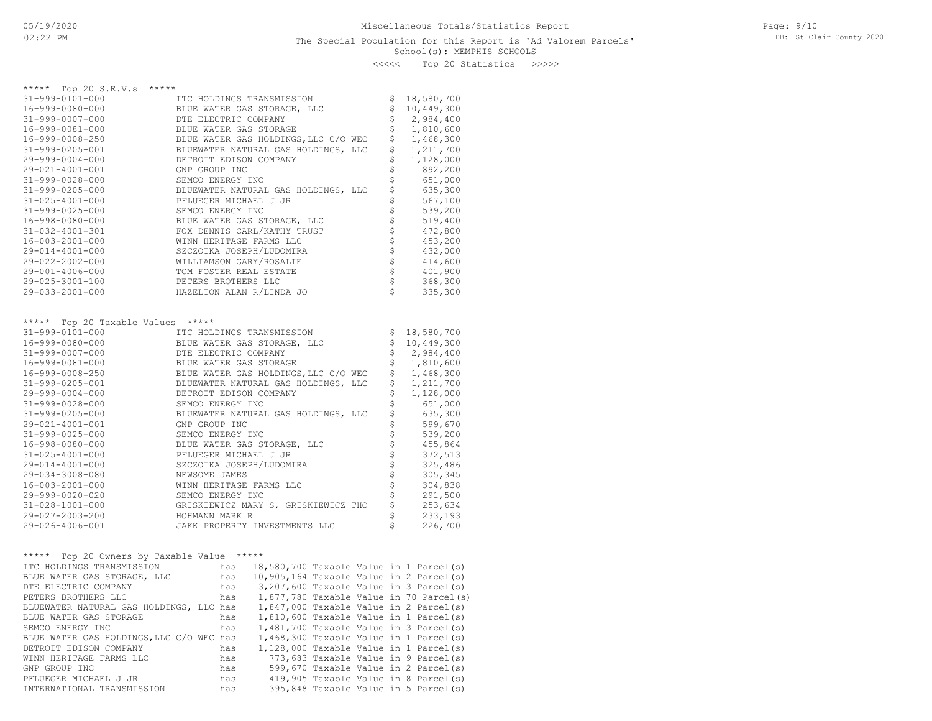<<<<< Top 20 Statistics >>>>>

| ***** Top 20 S.E.V.s *****<br>$31 - 999 - 0101 - 000$<br>ITC HOLDINGS TRANSMISSION<br>\$<br>18,580,700<br>\$<br>10,449,300<br>16-999-0080-000<br>BLUE WATER GAS STORAGE, LLC<br>\$<br>2,984,400<br>31-999-0007-000<br>DTE ELECTRIC COMPANY<br>\$<br>1,810,600<br>16-999-0081-000<br>BLUE WATER GAS STORAGE<br>\$<br>BLUE WATER GAS HOLDINGS, LLC C/O WEC<br>1,468,300<br>16-999-0008-250<br>\$<br>BLUEWATER NATURAL GAS HOLDINGS, LLC<br>1,211,700<br>31-999-0205-001<br>\$<br>1,128,000<br>29-999-0004-000<br>DETROIT EDISON COMPANY<br>\$<br>892,200<br>29-021-4001-001<br>GNP GROUP INC<br>\$<br>651,000<br>31-999-0028-000<br>SEMCO ENERGY INC<br>\$<br>635,300<br>31-999-0205-000<br>BLUEWATER NATURAL GAS HOLDINGS, LLC<br>\$<br>567,100<br>31-025-4001-000<br>PFLUEGER MICHAEL J JR<br>\$<br>539,200<br>$31 - 999 - 0025 - 000$<br>SEMCO ENERGY INC<br>\$<br>16-998-0080-000<br>BLUE WATER GAS STORAGE, LLC<br>519,400<br>31-032-4001-301<br>FOX DENNIS CARL/KATHY TRUST<br>472,800<br>\$<br>WINN HERITAGE FARMS LLC<br>16-003-2001-000<br>453,200<br>\$<br>29-014-4001-000<br>SZCZOTKA JOSEPH/LUDOMIRA<br>432,000<br>\$<br>29-022-2002-000<br>WILLIAMSON GARY/ROSALIE<br>414,600<br>401,900<br>29-001-4006-000<br>TOM FOSTER REAL ESTATE<br>\$<br>368,300<br>29-025-3001-100<br>PETERS BROTHERS LLC<br>Ś<br>29-033-2001-000<br>HAZELTON ALAN R/LINDA JO<br>335,300<br>***** Top 20 Taxable Values<br>*****<br>18,580,700<br>31-999-0101-000<br>ITC HOLDINGS TRANSMISSION<br>\$<br>\$<br>10,449,300<br>16-999-0080-000<br>BLUE WATER GAS STORAGE, LLC<br>\$<br>$31 - 999 - 0007 - 000$<br>2,984,400<br>DTE ELECTRIC COMPANY<br>\$<br>1,810,600<br>16-999-0081-000<br>BLUE WATER GAS STORAGE<br>\$<br>BLUE WATER GAS HOLDINGS, LLC C/O WEC<br>1,468,300<br>16-999-0008-250<br>\$<br>1,211,700<br>31-999-0205-001<br>BLUEWATER NATURAL GAS HOLDINGS, LLC<br>\$<br>1,128,000<br>29-999-0004-000<br>DETROIT EDISON COMPANY<br>\$<br>651,000<br>$31 - 999 - 0028 - 000$<br>SEMCO ENERGY INC<br>\$<br>635,300<br>31-999-0205-000<br>BLUEWATER NATURAL GAS HOLDINGS, LLC<br>\$<br>29-021-4001-001<br>GNP GROUP INC<br>599,670<br>\$<br>31-999-0025-000<br>SEMCO ENERGY INC<br>539,200<br>16-998-0080-000<br>BLUE WATER GAS STORAGE, LLC<br>455,864<br>\$<br>372,513<br>31-025-4001-000<br>PFLUEGER MICHAEL J JR<br>\$<br>325,486<br>29-014-4001-000<br>SZCZOTKA JOSEPH/LUDOMIRA<br>\$<br>29-034-3008-080<br>NEWSOME JAMES<br>305,345<br>16-003-2001-000<br>304,838<br>WINN HERITAGE FARMS LLC<br>\$<br>291,500<br>29-999-0020-020<br>SEMCO ENERGY INC<br>\$<br>31-028-1001-000<br>GRISKIEWICZ MARY S, GRISKIEWICZ THO<br>253,634<br>\$<br>29-027-2003-200<br>HOHMANN MARK R<br>233,193<br>\$<br>226,700<br>29-026-4006-001<br>JAKK PROPERTY INVESTMENTS LLC<br>Top 20 Owners by Taxable Value *****<br>*****<br>has 18,580,700 Taxable Value in 1 Parcel(s)<br>ITC HOLDINGS TRANSMISSION<br>has 10,905,164 Taxable Value in 2 Parcel(s)<br>BLUE WATER GAS STORAGE, LLC<br>3,207,600 Taxable Value in 3 Parcel(s)<br>DTE ELECTRIC COMPANY<br>has<br>1,877,780 Taxable Value in 70 Parcel(s)<br>PETERS BROTHERS LLC<br>has<br>BLUEWATER NATURAL GAS HOLDINGS, LLC has<br>1,847,000 Taxable Value in 2 Parcel(s)<br>BLUE WATER GAS STORAGE<br>1,810,600 Taxable Value in 1 Parcel(s)<br>has<br>SEMCO ENERGY INC<br>1,481,700 Taxable Value in 3 Parcel(s)<br>has<br>BLUE WATER GAS HOLDINGS, LLC C/O WEC has<br>1,468,300 Taxable Value in 1 Parcel(s)<br>DETROIT EDISON COMPANY<br>1,128,000 Taxable Value in 1 Parcel(s)<br>has<br>WINN HERITAGE FARMS LLC<br>773,683 Taxable Value in 9 Parcel(s)<br>has<br>GNP GROUP INC<br>599,670 Taxable Value in 2 Parcel(s)<br>has<br>PFLUEGER MICHAEL J JR<br>419,905 Taxable Value in 8 Parcel(s)<br>has<br>395,848 Taxable Value in 5 Parcel(s) |                            |     |  |  |  |
|------------------------------------------------------------------------------------------------------------------------------------------------------------------------------------------------------------------------------------------------------------------------------------------------------------------------------------------------------------------------------------------------------------------------------------------------------------------------------------------------------------------------------------------------------------------------------------------------------------------------------------------------------------------------------------------------------------------------------------------------------------------------------------------------------------------------------------------------------------------------------------------------------------------------------------------------------------------------------------------------------------------------------------------------------------------------------------------------------------------------------------------------------------------------------------------------------------------------------------------------------------------------------------------------------------------------------------------------------------------------------------------------------------------------------------------------------------------------------------------------------------------------------------------------------------------------------------------------------------------------------------------------------------------------------------------------------------------------------------------------------------------------------------------------------------------------------------------------------------------------------------------------------------------------------------------------------------------------------------------------------------------------------------------------------------------------------------------------------------------------------------------------------------------------------------------------------------------------------------------------------------------------------------------------------------------------------------------------------------------------------------------------------------------------------------------------------------------------------------------------------------------------------------------------------------------------------------------------------------------------------------------------------------------------------------------------------------------------------------------------------------------------------------------------------------------------------------------------------------------------------------------------------------------------------------------------------------------------------------------------------------------------------------------------------------------------------------------------------------------------------------------------------------------------------------------------------------------------------------------------------------------------------------------------------------------------------------------------------------------------------------------------------------------------------------------------------------------------------------------------------------------------------------------------------------------------------------------------------------------------------------------------------------------------------------------------------------------------------------------------------------------------------------------|----------------------------|-----|--|--|--|
|                                                                                                                                                                                                                                                                                                                                                                                                                                                                                                                                                                                                                                                                                                                                                                                                                                                                                                                                                                                                                                                                                                                                                                                                                                                                                                                                                                                                                                                                                                                                                                                                                                                                                                                                                                                                                                                                                                                                                                                                                                                                                                                                                                                                                                                                                                                                                                                                                                                                                                                                                                                                                                                                                                                                                                                                                                                                                                                                                                                                                                                                                                                                                                                                                                                                                                                                                                                                                                                                                                                                                                                                                                                                                                                                                                                          |                            |     |  |  |  |
|                                                                                                                                                                                                                                                                                                                                                                                                                                                                                                                                                                                                                                                                                                                                                                                                                                                                                                                                                                                                                                                                                                                                                                                                                                                                                                                                                                                                                                                                                                                                                                                                                                                                                                                                                                                                                                                                                                                                                                                                                                                                                                                                                                                                                                                                                                                                                                                                                                                                                                                                                                                                                                                                                                                                                                                                                                                                                                                                                                                                                                                                                                                                                                                                                                                                                                                                                                                                                                                                                                                                                                                                                                                                                                                                                                                          |                            |     |  |  |  |
|                                                                                                                                                                                                                                                                                                                                                                                                                                                                                                                                                                                                                                                                                                                                                                                                                                                                                                                                                                                                                                                                                                                                                                                                                                                                                                                                                                                                                                                                                                                                                                                                                                                                                                                                                                                                                                                                                                                                                                                                                                                                                                                                                                                                                                                                                                                                                                                                                                                                                                                                                                                                                                                                                                                                                                                                                                                                                                                                                                                                                                                                                                                                                                                                                                                                                                                                                                                                                                                                                                                                                                                                                                                                                                                                                                                          |                            |     |  |  |  |
|                                                                                                                                                                                                                                                                                                                                                                                                                                                                                                                                                                                                                                                                                                                                                                                                                                                                                                                                                                                                                                                                                                                                                                                                                                                                                                                                                                                                                                                                                                                                                                                                                                                                                                                                                                                                                                                                                                                                                                                                                                                                                                                                                                                                                                                                                                                                                                                                                                                                                                                                                                                                                                                                                                                                                                                                                                                                                                                                                                                                                                                                                                                                                                                                                                                                                                                                                                                                                                                                                                                                                                                                                                                                                                                                                                                          |                            |     |  |  |  |
|                                                                                                                                                                                                                                                                                                                                                                                                                                                                                                                                                                                                                                                                                                                                                                                                                                                                                                                                                                                                                                                                                                                                                                                                                                                                                                                                                                                                                                                                                                                                                                                                                                                                                                                                                                                                                                                                                                                                                                                                                                                                                                                                                                                                                                                                                                                                                                                                                                                                                                                                                                                                                                                                                                                                                                                                                                                                                                                                                                                                                                                                                                                                                                                                                                                                                                                                                                                                                                                                                                                                                                                                                                                                                                                                                                                          |                            |     |  |  |  |
|                                                                                                                                                                                                                                                                                                                                                                                                                                                                                                                                                                                                                                                                                                                                                                                                                                                                                                                                                                                                                                                                                                                                                                                                                                                                                                                                                                                                                                                                                                                                                                                                                                                                                                                                                                                                                                                                                                                                                                                                                                                                                                                                                                                                                                                                                                                                                                                                                                                                                                                                                                                                                                                                                                                                                                                                                                                                                                                                                                                                                                                                                                                                                                                                                                                                                                                                                                                                                                                                                                                                                                                                                                                                                                                                                                                          |                            |     |  |  |  |
|                                                                                                                                                                                                                                                                                                                                                                                                                                                                                                                                                                                                                                                                                                                                                                                                                                                                                                                                                                                                                                                                                                                                                                                                                                                                                                                                                                                                                                                                                                                                                                                                                                                                                                                                                                                                                                                                                                                                                                                                                                                                                                                                                                                                                                                                                                                                                                                                                                                                                                                                                                                                                                                                                                                                                                                                                                                                                                                                                                                                                                                                                                                                                                                                                                                                                                                                                                                                                                                                                                                                                                                                                                                                                                                                                                                          |                            |     |  |  |  |
|                                                                                                                                                                                                                                                                                                                                                                                                                                                                                                                                                                                                                                                                                                                                                                                                                                                                                                                                                                                                                                                                                                                                                                                                                                                                                                                                                                                                                                                                                                                                                                                                                                                                                                                                                                                                                                                                                                                                                                                                                                                                                                                                                                                                                                                                                                                                                                                                                                                                                                                                                                                                                                                                                                                                                                                                                                                                                                                                                                                                                                                                                                                                                                                                                                                                                                                                                                                                                                                                                                                                                                                                                                                                                                                                                                                          |                            |     |  |  |  |
|                                                                                                                                                                                                                                                                                                                                                                                                                                                                                                                                                                                                                                                                                                                                                                                                                                                                                                                                                                                                                                                                                                                                                                                                                                                                                                                                                                                                                                                                                                                                                                                                                                                                                                                                                                                                                                                                                                                                                                                                                                                                                                                                                                                                                                                                                                                                                                                                                                                                                                                                                                                                                                                                                                                                                                                                                                                                                                                                                                                                                                                                                                                                                                                                                                                                                                                                                                                                                                                                                                                                                                                                                                                                                                                                                                                          |                            |     |  |  |  |
|                                                                                                                                                                                                                                                                                                                                                                                                                                                                                                                                                                                                                                                                                                                                                                                                                                                                                                                                                                                                                                                                                                                                                                                                                                                                                                                                                                                                                                                                                                                                                                                                                                                                                                                                                                                                                                                                                                                                                                                                                                                                                                                                                                                                                                                                                                                                                                                                                                                                                                                                                                                                                                                                                                                                                                                                                                                                                                                                                                                                                                                                                                                                                                                                                                                                                                                                                                                                                                                                                                                                                                                                                                                                                                                                                                                          |                            |     |  |  |  |
|                                                                                                                                                                                                                                                                                                                                                                                                                                                                                                                                                                                                                                                                                                                                                                                                                                                                                                                                                                                                                                                                                                                                                                                                                                                                                                                                                                                                                                                                                                                                                                                                                                                                                                                                                                                                                                                                                                                                                                                                                                                                                                                                                                                                                                                                                                                                                                                                                                                                                                                                                                                                                                                                                                                                                                                                                                                                                                                                                                                                                                                                                                                                                                                                                                                                                                                                                                                                                                                                                                                                                                                                                                                                                                                                                                                          |                            |     |  |  |  |
|                                                                                                                                                                                                                                                                                                                                                                                                                                                                                                                                                                                                                                                                                                                                                                                                                                                                                                                                                                                                                                                                                                                                                                                                                                                                                                                                                                                                                                                                                                                                                                                                                                                                                                                                                                                                                                                                                                                                                                                                                                                                                                                                                                                                                                                                                                                                                                                                                                                                                                                                                                                                                                                                                                                                                                                                                                                                                                                                                                                                                                                                                                                                                                                                                                                                                                                                                                                                                                                                                                                                                                                                                                                                                                                                                                                          |                            |     |  |  |  |
|                                                                                                                                                                                                                                                                                                                                                                                                                                                                                                                                                                                                                                                                                                                                                                                                                                                                                                                                                                                                                                                                                                                                                                                                                                                                                                                                                                                                                                                                                                                                                                                                                                                                                                                                                                                                                                                                                                                                                                                                                                                                                                                                                                                                                                                                                                                                                                                                                                                                                                                                                                                                                                                                                                                                                                                                                                                                                                                                                                                                                                                                                                                                                                                                                                                                                                                                                                                                                                                                                                                                                                                                                                                                                                                                                                                          |                            |     |  |  |  |
|                                                                                                                                                                                                                                                                                                                                                                                                                                                                                                                                                                                                                                                                                                                                                                                                                                                                                                                                                                                                                                                                                                                                                                                                                                                                                                                                                                                                                                                                                                                                                                                                                                                                                                                                                                                                                                                                                                                                                                                                                                                                                                                                                                                                                                                                                                                                                                                                                                                                                                                                                                                                                                                                                                                                                                                                                                                                                                                                                                                                                                                                                                                                                                                                                                                                                                                                                                                                                                                                                                                                                                                                                                                                                                                                                                                          |                            |     |  |  |  |
|                                                                                                                                                                                                                                                                                                                                                                                                                                                                                                                                                                                                                                                                                                                                                                                                                                                                                                                                                                                                                                                                                                                                                                                                                                                                                                                                                                                                                                                                                                                                                                                                                                                                                                                                                                                                                                                                                                                                                                                                                                                                                                                                                                                                                                                                                                                                                                                                                                                                                                                                                                                                                                                                                                                                                                                                                                                                                                                                                                                                                                                                                                                                                                                                                                                                                                                                                                                                                                                                                                                                                                                                                                                                                                                                                                                          |                            |     |  |  |  |
|                                                                                                                                                                                                                                                                                                                                                                                                                                                                                                                                                                                                                                                                                                                                                                                                                                                                                                                                                                                                                                                                                                                                                                                                                                                                                                                                                                                                                                                                                                                                                                                                                                                                                                                                                                                                                                                                                                                                                                                                                                                                                                                                                                                                                                                                                                                                                                                                                                                                                                                                                                                                                                                                                                                                                                                                                                                                                                                                                                                                                                                                                                                                                                                                                                                                                                                                                                                                                                                                                                                                                                                                                                                                                                                                                                                          |                            |     |  |  |  |
|                                                                                                                                                                                                                                                                                                                                                                                                                                                                                                                                                                                                                                                                                                                                                                                                                                                                                                                                                                                                                                                                                                                                                                                                                                                                                                                                                                                                                                                                                                                                                                                                                                                                                                                                                                                                                                                                                                                                                                                                                                                                                                                                                                                                                                                                                                                                                                                                                                                                                                                                                                                                                                                                                                                                                                                                                                                                                                                                                                                                                                                                                                                                                                                                                                                                                                                                                                                                                                                                                                                                                                                                                                                                                                                                                                                          |                            |     |  |  |  |
|                                                                                                                                                                                                                                                                                                                                                                                                                                                                                                                                                                                                                                                                                                                                                                                                                                                                                                                                                                                                                                                                                                                                                                                                                                                                                                                                                                                                                                                                                                                                                                                                                                                                                                                                                                                                                                                                                                                                                                                                                                                                                                                                                                                                                                                                                                                                                                                                                                                                                                                                                                                                                                                                                                                                                                                                                                                                                                                                                                                                                                                                                                                                                                                                                                                                                                                                                                                                                                                                                                                                                                                                                                                                                                                                                                                          |                            |     |  |  |  |
|                                                                                                                                                                                                                                                                                                                                                                                                                                                                                                                                                                                                                                                                                                                                                                                                                                                                                                                                                                                                                                                                                                                                                                                                                                                                                                                                                                                                                                                                                                                                                                                                                                                                                                                                                                                                                                                                                                                                                                                                                                                                                                                                                                                                                                                                                                                                                                                                                                                                                                                                                                                                                                                                                                                                                                                                                                                                                                                                                                                                                                                                                                                                                                                                                                                                                                                                                                                                                                                                                                                                                                                                                                                                                                                                                                                          |                            |     |  |  |  |
|                                                                                                                                                                                                                                                                                                                                                                                                                                                                                                                                                                                                                                                                                                                                                                                                                                                                                                                                                                                                                                                                                                                                                                                                                                                                                                                                                                                                                                                                                                                                                                                                                                                                                                                                                                                                                                                                                                                                                                                                                                                                                                                                                                                                                                                                                                                                                                                                                                                                                                                                                                                                                                                                                                                                                                                                                                                                                                                                                                                                                                                                                                                                                                                                                                                                                                                                                                                                                                                                                                                                                                                                                                                                                                                                                                                          |                            |     |  |  |  |
|                                                                                                                                                                                                                                                                                                                                                                                                                                                                                                                                                                                                                                                                                                                                                                                                                                                                                                                                                                                                                                                                                                                                                                                                                                                                                                                                                                                                                                                                                                                                                                                                                                                                                                                                                                                                                                                                                                                                                                                                                                                                                                                                                                                                                                                                                                                                                                                                                                                                                                                                                                                                                                                                                                                                                                                                                                                                                                                                                                                                                                                                                                                                                                                                                                                                                                                                                                                                                                                                                                                                                                                                                                                                                                                                                                                          |                            |     |  |  |  |
|                                                                                                                                                                                                                                                                                                                                                                                                                                                                                                                                                                                                                                                                                                                                                                                                                                                                                                                                                                                                                                                                                                                                                                                                                                                                                                                                                                                                                                                                                                                                                                                                                                                                                                                                                                                                                                                                                                                                                                                                                                                                                                                                                                                                                                                                                                                                                                                                                                                                                                                                                                                                                                                                                                                                                                                                                                                                                                                                                                                                                                                                                                                                                                                                                                                                                                                                                                                                                                                                                                                                                                                                                                                                                                                                                                                          |                            |     |  |  |  |
|                                                                                                                                                                                                                                                                                                                                                                                                                                                                                                                                                                                                                                                                                                                                                                                                                                                                                                                                                                                                                                                                                                                                                                                                                                                                                                                                                                                                                                                                                                                                                                                                                                                                                                                                                                                                                                                                                                                                                                                                                                                                                                                                                                                                                                                                                                                                                                                                                                                                                                                                                                                                                                                                                                                                                                                                                                                                                                                                                                                                                                                                                                                                                                                                                                                                                                                                                                                                                                                                                                                                                                                                                                                                                                                                                                                          |                            |     |  |  |  |
|                                                                                                                                                                                                                                                                                                                                                                                                                                                                                                                                                                                                                                                                                                                                                                                                                                                                                                                                                                                                                                                                                                                                                                                                                                                                                                                                                                                                                                                                                                                                                                                                                                                                                                                                                                                                                                                                                                                                                                                                                                                                                                                                                                                                                                                                                                                                                                                                                                                                                                                                                                                                                                                                                                                                                                                                                                                                                                                                                                                                                                                                                                                                                                                                                                                                                                                                                                                                                                                                                                                                                                                                                                                                                                                                                                                          |                            |     |  |  |  |
|                                                                                                                                                                                                                                                                                                                                                                                                                                                                                                                                                                                                                                                                                                                                                                                                                                                                                                                                                                                                                                                                                                                                                                                                                                                                                                                                                                                                                                                                                                                                                                                                                                                                                                                                                                                                                                                                                                                                                                                                                                                                                                                                                                                                                                                                                                                                                                                                                                                                                                                                                                                                                                                                                                                                                                                                                                                                                                                                                                                                                                                                                                                                                                                                                                                                                                                                                                                                                                                                                                                                                                                                                                                                                                                                                                                          |                            |     |  |  |  |
|                                                                                                                                                                                                                                                                                                                                                                                                                                                                                                                                                                                                                                                                                                                                                                                                                                                                                                                                                                                                                                                                                                                                                                                                                                                                                                                                                                                                                                                                                                                                                                                                                                                                                                                                                                                                                                                                                                                                                                                                                                                                                                                                                                                                                                                                                                                                                                                                                                                                                                                                                                                                                                                                                                                                                                                                                                                                                                                                                                                                                                                                                                                                                                                                                                                                                                                                                                                                                                                                                                                                                                                                                                                                                                                                                                                          |                            |     |  |  |  |
|                                                                                                                                                                                                                                                                                                                                                                                                                                                                                                                                                                                                                                                                                                                                                                                                                                                                                                                                                                                                                                                                                                                                                                                                                                                                                                                                                                                                                                                                                                                                                                                                                                                                                                                                                                                                                                                                                                                                                                                                                                                                                                                                                                                                                                                                                                                                                                                                                                                                                                                                                                                                                                                                                                                                                                                                                                                                                                                                                                                                                                                                                                                                                                                                                                                                                                                                                                                                                                                                                                                                                                                                                                                                                                                                                                                          |                            |     |  |  |  |
|                                                                                                                                                                                                                                                                                                                                                                                                                                                                                                                                                                                                                                                                                                                                                                                                                                                                                                                                                                                                                                                                                                                                                                                                                                                                                                                                                                                                                                                                                                                                                                                                                                                                                                                                                                                                                                                                                                                                                                                                                                                                                                                                                                                                                                                                                                                                                                                                                                                                                                                                                                                                                                                                                                                                                                                                                                                                                                                                                                                                                                                                                                                                                                                                                                                                                                                                                                                                                                                                                                                                                                                                                                                                                                                                                                                          |                            |     |  |  |  |
|                                                                                                                                                                                                                                                                                                                                                                                                                                                                                                                                                                                                                                                                                                                                                                                                                                                                                                                                                                                                                                                                                                                                                                                                                                                                                                                                                                                                                                                                                                                                                                                                                                                                                                                                                                                                                                                                                                                                                                                                                                                                                                                                                                                                                                                                                                                                                                                                                                                                                                                                                                                                                                                                                                                                                                                                                                                                                                                                                                                                                                                                                                                                                                                                                                                                                                                                                                                                                                                                                                                                                                                                                                                                                                                                                                                          |                            |     |  |  |  |
|                                                                                                                                                                                                                                                                                                                                                                                                                                                                                                                                                                                                                                                                                                                                                                                                                                                                                                                                                                                                                                                                                                                                                                                                                                                                                                                                                                                                                                                                                                                                                                                                                                                                                                                                                                                                                                                                                                                                                                                                                                                                                                                                                                                                                                                                                                                                                                                                                                                                                                                                                                                                                                                                                                                                                                                                                                                                                                                                                                                                                                                                                                                                                                                                                                                                                                                                                                                                                                                                                                                                                                                                                                                                                                                                                                                          |                            |     |  |  |  |
|                                                                                                                                                                                                                                                                                                                                                                                                                                                                                                                                                                                                                                                                                                                                                                                                                                                                                                                                                                                                                                                                                                                                                                                                                                                                                                                                                                                                                                                                                                                                                                                                                                                                                                                                                                                                                                                                                                                                                                                                                                                                                                                                                                                                                                                                                                                                                                                                                                                                                                                                                                                                                                                                                                                                                                                                                                                                                                                                                                                                                                                                                                                                                                                                                                                                                                                                                                                                                                                                                                                                                                                                                                                                                                                                                                                          |                            |     |  |  |  |
|                                                                                                                                                                                                                                                                                                                                                                                                                                                                                                                                                                                                                                                                                                                                                                                                                                                                                                                                                                                                                                                                                                                                                                                                                                                                                                                                                                                                                                                                                                                                                                                                                                                                                                                                                                                                                                                                                                                                                                                                                                                                                                                                                                                                                                                                                                                                                                                                                                                                                                                                                                                                                                                                                                                                                                                                                                                                                                                                                                                                                                                                                                                                                                                                                                                                                                                                                                                                                                                                                                                                                                                                                                                                                                                                                                                          |                            |     |  |  |  |
|                                                                                                                                                                                                                                                                                                                                                                                                                                                                                                                                                                                                                                                                                                                                                                                                                                                                                                                                                                                                                                                                                                                                                                                                                                                                                                                                                                                                                                                                                                                                                                                                                                                                                                                                                                                                                                                                                                                                                                                                                                                                                                                                                                                                                                                                                                                                                                                                                                                                                                                                                                                                                                                                                                                                                                                                                                                                                                                                                                                                                                                                                                                                                                                                                                                                                                                                                                                                                                                                                                                                                                                                                                                                                                                                                                                          |                            |     |  |  |  |
|                                                                                                                                                                                                                                                                                                                                                                                                                                                                                                                                                                                                                                                                                                                                                                                                                                                                                                                                                                                                                                                                                                                                                                                                                                                                                                                                                                                                                                                                                                                                                                                                                                                                                                                                                                                                                                                                                                                                                                                                                                                                                                                                                                                                                                                                                                                                                                                                                                                                                                                                                                                                                                                                                                                                                                                                                                                                                                                                                                                                                                                                                                                                                                                                                                                                                                                                                                                                                                                                                                                                                                                                                                                                                                                                                                                          |                            |     |  |  |  |
|                                                                                                                                                                                                                                                                                                                                                                                                                                                                                                                                                                                                                                                                                                                                                                                                                                                                                                                                                                                                                                                                                                                                                                                                                                                                                                                                                                                                                                                                                                                                                                                                                                                                                                                                                                                                                                                                                                                                                                                                                                                                                                                                                                                                                                                                                                                                                                                                                                                                                                                                                                                                                                                                                                                                                                                                                                                                                                                                                                                                                                                                                                                                                                                                                                                                                                                                                                                                                                                                                                                                                                                                                                                                                                                                                                                          |                            |     |  |  |  |
|                                                                                                                                                                                                                                                                                                                                                                                                                                                                                                                                                                                                                                                                                                                                                                                                                                                                                                                                                                                                                                                                                                                                                                                                                                                                                                                                                                                                                                                                                                                                                                                                                                                                                                                                                                                                                                                                                                                                                                                                                                                                                                                                                                                                                                                                                                                                                                                                                                                                                                                                                                                                                                                                                                                                                                                                                                                                                                                                                                                                                                                                                                                                                                                                                                                                                                                                                                                                                                                                                                                                                                                                                                                                                                                                                                                          |                            |     |  |  |  |
|                                                                                                                                                                                                                                                                                                                                                                                                                                                                                                                                                                                                                                                                                                                                                                                                                                                                                                                                                                                                                                                                                                                                                                                                                                                                                                                                                                                                                                                                                                                                                                                                                                                                                                                                                                                                                                                                                                                                                                                                                                                                                                                                                                                                                                                                                                                                                                                                                                                                                                                                                                                                                                                                                                                                                                                                                                                                                                                                                                                                                                                                                                                                                                                                                                                                                                                                                                                                                                                                                                                                                                                                                                                                                                                                                                                          |                            |     |  |  |  |
|                                                                                                                                                                                                                                                                                                                                                                                                                                                                                                                                                                                                                                                                                                                                                                                                                                                                                                                                                                                                                                                                                                                                                                                                                                                                                                                                                                                                                                                                                                                                                                                                                                                                                                                                                                                                                                                                                                                                                                                                                                                                                                                                                                                                                                                                                                                                                                                                                                                                                                                                                                                                                                                                                                                                                                                                                                                                                                                                                                                                                                                                                                                                                                                                                                                                                                                                                                                                                                                                                                                                                                                                                                                                                                                                                                                          |                            |     |  |  |  |
|                                                                                                                                                                                                                                                                                                                                                                                                                                                                                                                                                                                                                                                                                                                                                                                                                                                                                                                                                                                                                                                                                                                                                                                                                                                                                                                                                                                                                                                                                                                                                                                                                                                                                                                                                                                                                                                                                                                                                                                                                                                                                                                                                                                                                                                                                                                                                                                                                                                                                                                                                                                                                                                                                                                                                                                                                                                                                                                                                                                                                                                                                                                                                                                                                                                                                                                                                                                                                                                                                                                                                                                                                                                                                                                                                                                          |                            |     |  |  |  |
|                                                                                                                                                                                                                                                                                                                                                                                                                                                                                                                                                                                                                                                                                                                                                                                                                                                                                                                                                                                                                                                                                                                                                                                                                                                                                                                                                                                                                                                                                                                                                                                                                                                                                                                                                                                                                                                                                                                                                                                                                                                                                                                                                                                                                                                                                                                                                                                                                                                                                                                                                                                                                                                                                                                                                                                                                                                                                                                                                                                                                                                                                                                                                                                                                                                                                                                                                                                                                                                                                                                                                                                                                                                                                                                                                                                          |                            |     |  |  |  |
|                                                                                                                                                                                                                                                                                                                                                                                                                                                                                                                                                                                                                                                                                                                                                                                                                                                                                                                                                                                                                                                                                                                                                                                                                                                                                                                                                                                                                                                                                                                                                                                                                                                                                                                                                                                                                                                                                                                                                                                                                                                                                                                                                                                                                                                                                                                                                                                                                                                                                                                                                                                                                                                                                                                                                                                                                                                                                                                                                                                                                                                                                                                                                                                                                                                                                                                                                                                                                                                                                                                                                                                                                                                                                                                                                                                          |                            |     |  |  |  |
|                                                                                                                                                                                                                                                                                                                                                                                                                                                                                                                                                                                                                                                                                                                                                                                                                                                                                                                                                                                                                                                                                                                                                                                                                                                                                                                                                                                                                                                                                                                                                                                                                                                                                                                                                                                                                                                                                                                                                                                                                                                                                                                                                                                                                                                                                                                                                                                                                                                                                                                                                                                                                                                                                                                                                                                                                                                                                                                                                                                                                                                                                                                                                                                                                                                                                                                                                                                                                                                                                                                                                                                                                                                                                                                                                                                          |                            |     |  |  |  |
|                                                                                                                                                                                                                                                                                                                                                                                                                                                                                                                                                                                                                                                                                                                                                                                                                                                                                                                                                                                                                                                                                                                                                                                                                                                                                                                                                                                                                                                                                                                                                                                                                                                                                                                                                                                                                                                                                                                                                                                                                                                                                                                                                                                                                                                                                                                                                                                                                                                                                                                                                                                                                                                                                                                                                                                                                                                                                                                                                                                                                                                                                                                                                                                                                                                                                                                                                                                                                                                                                                                                                                                                                                                                                                                                                                                          |                            |     |  |  |  |
|                                                                                                                                                                                                                                                                                                                                                                                                                                                                                                                                                                                                                                                                                                                                                                                                                                                                                                                                                                                                                                                                                                                                                                                                                                                                                                                                                                                                                                                                                                                                                                                                                                                                                                                                                                                                                                                                                                                                                                                                                                                                                                                                                                                                                                                                                                                                                                                                                                                                                                                                                                                                                                                                                                                                                                                                                                                                                                                                                                                                                                                                                                                                                                                                                                                                                                                                                                                                                                                                                                                                                                                                                                                                                                                                                                                          |                            |     |  |  |  |
|                                                                                                                                                                                                                                                                                                                                                                                                                                                                                                                                                                                                                                                                                                                                                                                                                                                                                                                                                                                                                                                                                                                                                                                                                                                                                                                                                                                                                                                                                                                                                                                                                                                                                                                                                                                                                                                                                                                                                                                                                                                                                                                                                                                                                                                                                                                                                                                                                                                                                                                                                                                                                                                                                                                                                                                                                                                                                                                                                                                                                                                                                                                                                                                                                                                                                                                                                                                                                                                                                                                                                                                                                                                                                                                                                                                          |                            |     |  |  |  |
|                                                                                                                                                                                                                                                                                                                                                                                                                                                                                                                                                                                                                                                                                                                                                                                                                                                                                                                                                                                                                                                                                                                                                                                                                                                                                                                                                                                                                                                                                                                                                                                                                                                                                                                                                                                                                                                                                                                                                                                                                                                                                                                                                                                                                                                                                                                                                                                                                                                                                                                                                                                                                                                                                                                                                                                                                                                                                                                                                                                                                                                                                                                                                                                                                                                                                                                                                                                                                                                                                                                                                                                                                                                                                                                                                                                          |                            |     |  |  |  |
|                                                                                                                                                                                                                                                                                                                                                                                                                                                                                                                                                                                                                                                                                                                                                                                                                                                                                                                                                                                                                                                                                                                                                                                                                                                                                                                                                                                                                                                                                                                                                                                                                                                                                                                                                                                                                                                                                                                                                                                                                                                                                                                                                                                                                                                                                                                                                                                                                                                                                                                                                                                                                                                                                                                                                                                                                                                                                                                                                                                                                                                                                                                                                                                                                                                                                                                                                                                                                                                                                                                                                                                                                                                                                                                                                                                          |                            |     |  |  |  |
|                                                                                                                                                                                                                                                                                                                                                                                                                                                                                                                                                                                                                                                                                                                                                                                                                                                                                                                                                                                                                                                                                                                                                                                                                                                                                                                                                                                                                                                                                                                                                                                                                                                                                                                                                                                                                                                                                                                                                                                                                                                                                                                                                                                                                                                                                                                                                                                                                                                                                                                                                                                                                                                                                                                                                                                                                                                                                                                                                                                                                                                                                                                                                                                                                                                                                                                                                                                                                                                                                                                                                                                                                                                                                                                                                                                          |                            |     |  |  |  |
|                                                                                                                                                                                                                                                                                                                                                                                                                                                                                                                                                                                                                                                                                                                                                                                                                                                                                                                                                                                                                                                                                                                                                                                                                                                                                                                                                                                                                                                                                                                                                                                                                                                                                                                                                                                                                                                                                                                                                                                                                                                                                                                                                                                                                                                                                                                                                                                                                                                                                                                                                                                                                                                                                                                                                                                                                                                                                                                                                                                                                                                                                                                                                                                                                                                                                                                                                                                                                                                                                                                                                                                                                                                                                                                                                                                          |                            |     |  |  |  |
|                                                                                                                                                                                                                                                                                                                                                                                                                                                                                                                                                                                                                                                                                                                                                                                                                                                                                                                                                                                                                                                                                                                                                                                                                                                                                                                                                                                                                                                                                                                                                                                                                                                                                                                                                                                                                                                                                                                                                                                                                                                                                                                                                                                                                                                                                                                                                                                                                                                                                                                                                                                                                                                                                                                                                                                                                                                                                                                                                                                                                                                                                                                                                                                                                                                                                                                                                                                                                                                                                                                                                                                                                                                                                                                                                                                          |                            |     |  |  |  |
|                                                                                                                                                                                                                                                                                                                                                                                                                                                                                                                                                                                                                                                                                                                                                                                                                                                                                                                                                                                                                                                                                                                                                                                                                                                                                                                                                                                                                                                                                                                                                                                                                                                                                                                                                                                                                                                                                                                                                                                                                                                                                                                                                                                                                                                                                                                                                                                                                                                                                                                                                                                                                                                                                                                                                                                                                                                                                                                                                                                                                                                                                                                                                                                                                                                                                                                                                                                                                                                                                                                                                                                                                                                                                                                                                                                          |                            |     |  |  |  |
|                                                                                                                                                                                                                                                                                                                                                                                                                                                                                                                                                                                                                                                                                                                                                                                                                                                                                                                                                                                                                                                                                                                                                                                                                                                                                                                                                                                                                                                                                                                                                                                                                                                                                                                                                                                                                                                                                                                                                                                                                                                                                                                                                                                                                                                                                                                                                                                                                                                                                                                                                                                                                                                                                                                                                                                                                                                                                                                                                                                                                                                                                                                                                                                                                                                                                                                                                                                                                                                                                                                                                                                                                                                                                                                                                                                          |                            |     |  |  |  |
|                                                                                                                                                                                                                                                                                                                                                                                                                                                                                                                                                                                                                                                                                                                                                                                                                                                                                                                                                                                                                                                                                                                                                                                                                                                                                                                                                                                                                                                                                                                                                                                                                                                                                                                                                                                                                                                                                                                                                                                                                                                                                                                                                                                                                                                                                                                                                                                                                                                                                                                                                                                                                                                                                                                                                                                                                                                                                                                                                                                                                                                                                                                                                                                                                                                                                                                                                                                                                                                                                                                                                                                                                                                                                                                                                                                          |                            |     |  |  |  |
|                                                                                                                                                                                                                                                                                                                                                                                                                                                                                                                                                                                                                                                                                                                                                                                                                                                                                                                                                                                                                                                                                                                                                                                                                                                                                                                                                                                                                                                                                                                                                                                                                                                                                                                                                                                                                                                                                                                                                                                                                                                                                                                                                                                                                                                                                                                                                                                                                                                                                                                                                                                                                                                                                                                                                                                                                                                                                                                                                                                                                                                                                                                                                                                                                                                                                                                                                                                                                                                                                                                                                                                                                                                                                                                                                                                          |                            |     |  |  |  |
|                                                                                                                                                                                                                                                                                                                                                                                                                                                                                                                                                                                                                                                                                                                                                                                                                                                                                                                                                                                                                                                                                                                                                                                                                                                                                                                                                                                                                                                                                                                                                                                                                                                                                                                                                                                                                                                                                                                                                                                                                                                                                                                                                                                                                                                                                                                                                                                                                                                                                                                                                                                                                                                                                                                                                                                                                                                                                                                                                                                                                                                                                                                                                                                                                                                                                                                                                                                                                                                                                                                                                                                                                                                                                                                                                                                          |                            |     |  |  |  |
|                                                                                                                                                                                                                                                                                                                                                                                                                                                                                                                                                                                                                                                                                                                                                                                                                                                                                                                                                                                                                                                                                                                                                                                                                                                                                                                                                                                                                                                                                                                                                                                                                                                                                                                                                                                                                                                                                                                                                                                                                                                                                                                                                                                                                                                                                                                                                                                                                                                                                                                                                                                                                                                                                                                                                                                                                                                                                                                                                                                                                                                                                                                                                                                                                                                                                                                                                                                                                                                                                                                                                                                                                                                                                                                                                                                          |                            |     |  |  |  |
|                                                                                                                                                                                                                                                                                                                                                                                                                                                                                                                                                                                                                                                                                                                                                                                                                                                                                                                                                                                                                                                                                                                                                                                                                                                                                                                                                                                                                                                                                                                                                                                                                                                                                                                                                                                                                                                                                                                                                                                                                                                                                                                                                                                                                                                                                                                                                                                                                                                                                                                                                                                                                                                                                                                                                                                                                                                                                                                                                                                                                                                                                                                                                                                                                                                                                                                                                                                                                                                                                                                                                                                                                                                                                                                                                                                          |                            |     |  |  |  |
|                                                                                                                                                                                                                                                                                                                                                                                                                                                                                                                                                                                                                                                                                                                                                                                                                                                                                                                                                                                                                                                                                                                                                                                                                                                                                                                                                                                                                                                                                                                                                                                                                                                                                                                                                                                                                                                                                                                                                                                                                                                                                                                                                                                                                                                                                                                                                                                                                                                                                                                                                                                                                                                                                                                                                                                                                                                                                                                                                                                                                                                                                                                                                                                                                                                                                                                                                                                                                                                                                                                                                                                                                                                                                                                                                                                          |                            |     |  |  |  |
|                                                                                                                                                                                                                                                                                                                                                                                                                                                                                                                                                                                                                                                                                                                                                                                                                                                                                                                                                                                                                                                                                                                                                                                                                                                                                                                                                                                                                                                                                                                                                                                                                                                                                                                                                                                                                                                                                                                                                                                                                                                                                                                                                                                                                                                                                                                                                                                                                                                                                                                                                                                                                                                                                                                                                                                                                                                                                                                                                                                                                                                                                                                                                                                                                                                                                                                                                                                                                                                                                                                                                                                                                                                                                                                                                                                          |                            |     |  |  |  |
|                                                                                                                                                                                                                                                                                                                                                                                                                                                                                                                                                                                                                                                                                                                                                                                                                                                                                                                                                                                                                                                                                                                                                                                                                                                                                                                                                                                                                                                                                                                                                                                                                                                                                                                                                                                                                                                                                                                                                                                                                                                                                                                                                                                                                                                                                                                                                                                                                                                                                                                                                                                                                                                                                                                                                                                                                                                                                                                                                                                                                                                                                                                                                                                                                                                                                                                                                                                                                                                                                                                                                                                                                                                                                                                                                                                          | INTERNATIONAL TRANSMISSION | has |  |  |  |